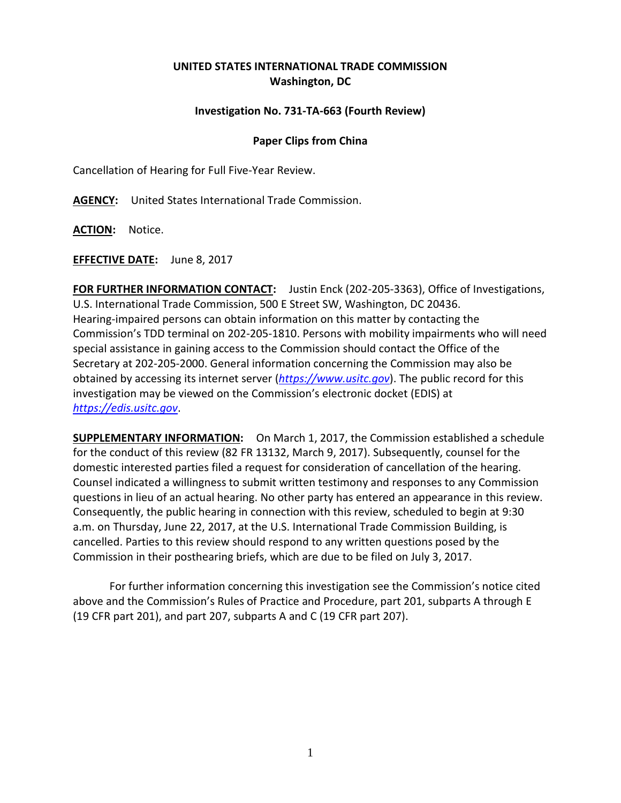## **UNITED STATES INTERNATIONAL TRADE COMMISSION Washington, DC**

## **Investigation No. 731-TA-663 (Fourth Review)**

## **Paper Clips from China**

Cancellation of Hearing for Full Five-Year Review.

**AGENCY:** United States International Trade Commission.

**ACTION:** Notice.

**EFFECTIVE DATE:** June 8, 2017

**FOR FURTHER INFORMATION CONTACT:** Justin Enck (202-205-3363), Office of Investigations, U.S. International Trade Commission, 500 E Street SW, Washington, DC 20436. Hearing-impaired persons can obtain information on this matter by contacting the Commission's TDD terminal on 202-205-1810. Persons with mobility impairments who will need special assistance in gaining access to the Commission should contact the Office of the Secretary at 202-205-2000. General information concerning the Commission may also be obtained by accessing its internet server (*[https://www.usitc.gov](https://www.usitc.gov/)*). The public record for this investigation may be viewed on the Commission's electronic docket (EDIS) at *[https://edis.usitc.gov](https://edis.usitc.gov/)*.

**SUPPLEMENTARY INFORMATION:** On March 1, 2017, the Commission established a schedule for the conduct of this review (82 FR 13132, March 9, 2017). Subsequently, counsel for the domestic interested parties filed a request for consideration of cancellation of the hearing. Counsel indicated a willingness to submit written testimony and responses to any Commission questions in lieu of an actual hearing. No other party has entered an appearance in this review. Consequently, the public hearing in connection with this review, scheduled to begin at 9:30 a.m. on Thursday, June 22, 2017, at the U.S. International Trade Commission Building, is cancelled. Parties to this review should respond to any written questions posed by the Commission in their posthearing briefs, which are due to be filed on July 3, 2017.

For further information concerning this investigation see the Commission's notice cited above and the Commission's Rules of Practice and Procedure, part 201, subparts A through E (19 CFR part 201), and part 207, subparts A and C (19 CFR part 207).